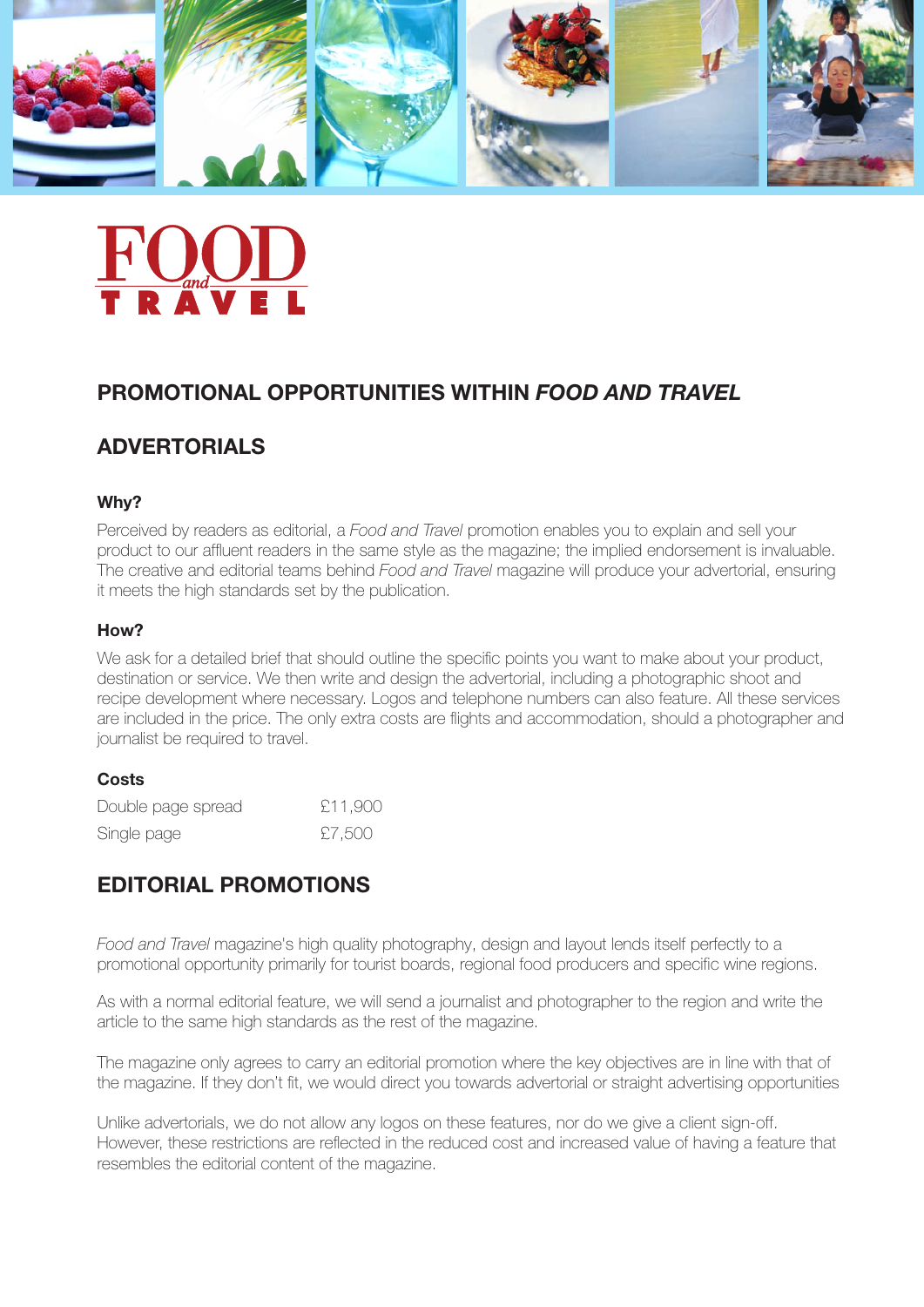

# **PROMOTIONAL OPPORTUNITIES WITHIN** *FOOD AND TRAVEL*

## **ADVERTORIALS**

#### **Why?**

Perceived by readers as editorial, a *Food and Travel* promotion enables you to explain and sell your product to our affluent readers in the same style as the magazine; the implied endorsement is invaluable. The creative and editorial teams behind *Food and Travel* magazine will produce your advertorial, ensuring it meets the high standards set by the publication.

#### **How?**

We ask for a detailed brief that should outline the specific points you want to make about your product, destination or service. We then write and design the advertorial, including a photographic shoot and recipe development where necessary. Logos and telephone numbers can also feature. All these services are included in the price. The only extra costs are flights and accommodation, should a photographer and journalist be required to travel.

## **Costs**

| Double page spread | £11,900 |
|--------------------|---------|
| Single page        | £7,500  |

## **EDITORIAL PROMOTIONS**

*Food and Travel* magazine's high quality photography, design and layout lends itself perfectly to a promotional opportunity primarily for tourist boards, regional food producers and specific wine regions.

As with a normal editorial feature, we will send a journalist and photographer to the region and write the article to the same high standards as the rest of the magazine.

The magazine only agrees to carry an editorial promotion where the key objectives are in line with that of the magazine. If they don't fit, we would direct you towards advertorial or straight advertising opportunities

Unlike advertorials, we do not allow any logos on these features, nor do we give a client sign-off. However, these restrictions are reflected in the reduced cost and increased value of having a feature that resembles the editorial content of the magazine.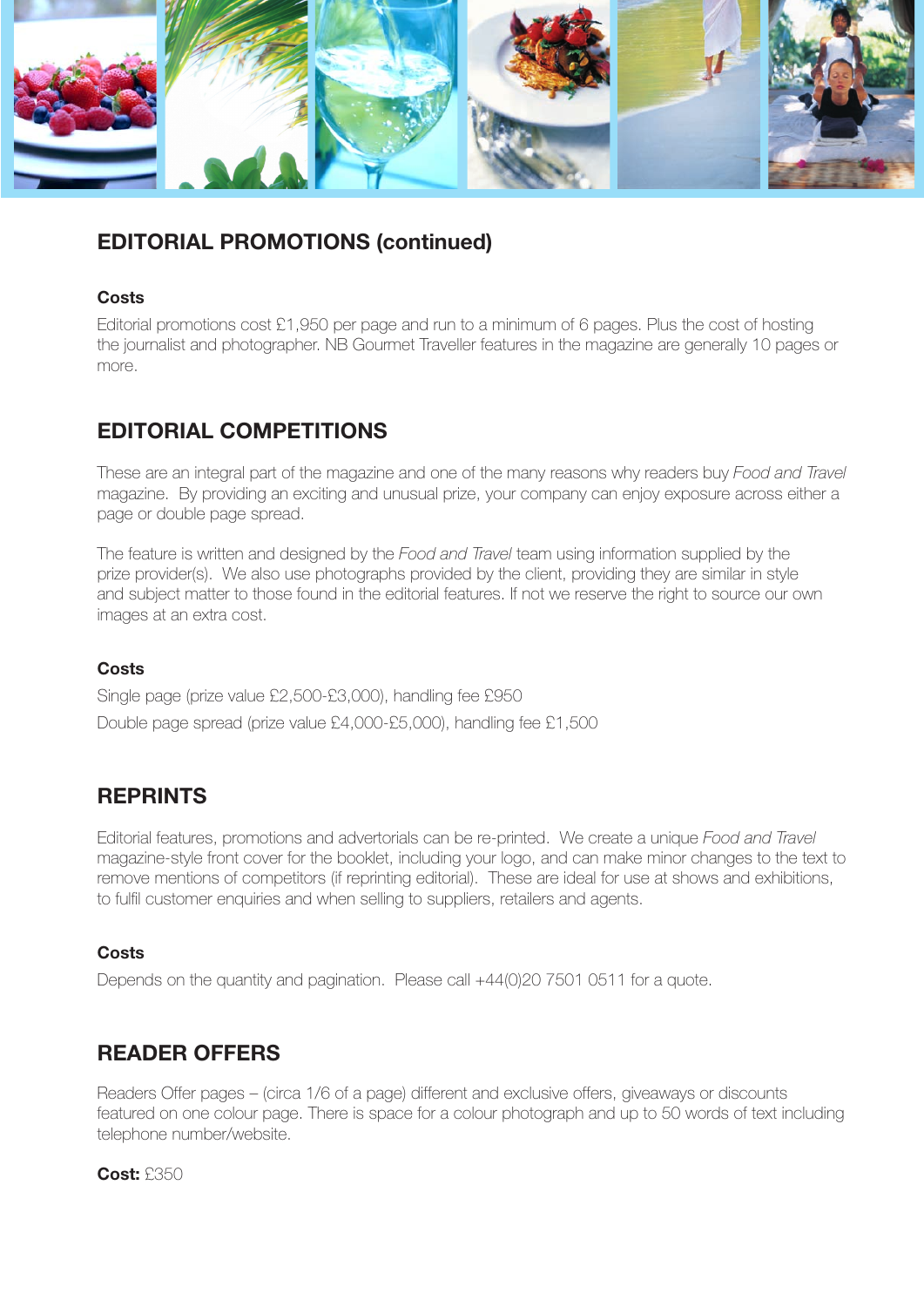

## **EDITORIAL PROMOTIONS (continued)**

#### **Costs**

Editorial promotions cost £1,950 per page and run to a minimum of 6 pages. Plus the cost of hosting the journalist and photographer. NB Gourmet Traveller features in the magazine are generally 10 pages or more.

## **EDITORIAL COMPETITIONS**

These are an integral part of the magazine and one of the many reasons why readers buy *Food and Travel* magazine. By providing an exciting and unusual prize, your company can enjoy exposure across either a page or double page spread.

The feature is written and designed by the *Food and Travel* team using information supplied by the prize provider(s). We also use photographs provided by the client, providing they are similar in style and subject matter to those found in the editorial features. If not we reserve the right to source our own images at an extra cost.

## **Costs**

Single page (prize value £2,500-£3,000), handling fee £950 Double page spread (prize value £4,000-£5,000), handling fee £1,500

## **REPRINTS**

Editorial features, promotions and advertorials can be re-printed. We create a unique *Food and Travel* magazine-style front cover for the booklet, including your logo, and can make minor changes to the text to remove mentions of competitors (if reprinting editorial). These are ideal for use at shows and exhibitions, to fulfil customer enquiries and when selling to suppliers, retailers and agents.

## **Costs**

Depends on the quantity and pagination. Please call +44(0)20 7501 0511 for a quote.

## **READER OFFERS**

Readers Offer pages – (circa 1/6 of a page) different and exclusive offers, giveaways or discounts featured on one colour page. There is space for a colour photograph and up to 50 words of text including telephone number/website.

## **Cost:** £350